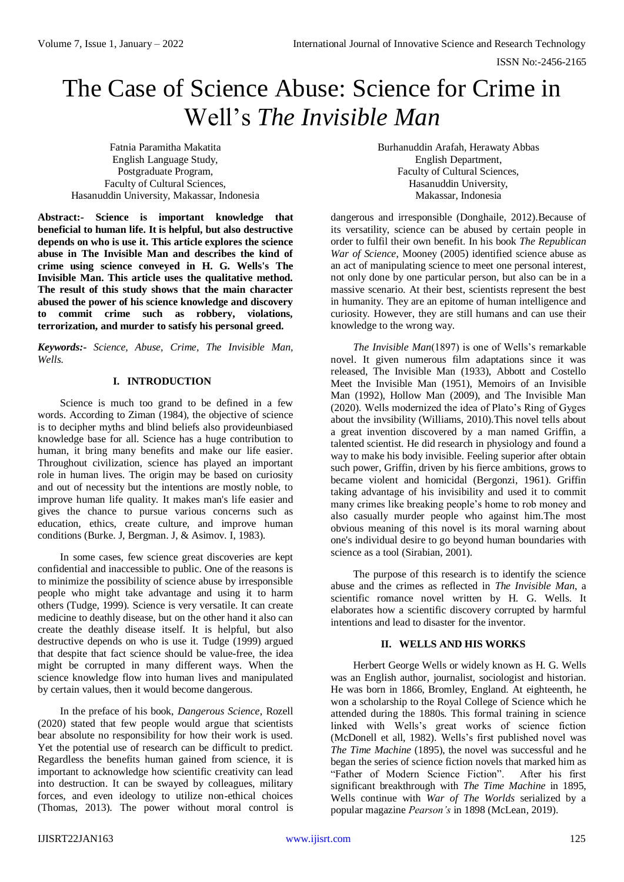ISSN No:-2456-2165

# The Case of Science Abuse: Science for Crime in Well's *The Invisible Man*

Fatnia Paramitha Makatita English Language Study, Postgraduate Program, Faculty of Cultural Sciences, Hasanuddin University, Makassar, Indonesia

**Abstract:- Science is important knowledge that beneficial to human life. It is helpful, but also destructive depends on who is use it. This article explores the science abuse in The Invisible Man and describes the kind of crime using science conveyed in H. G. Wells's The Invisible Man. This article uses the qualitative method. The result of this study shows that the main character abused the power of his science knowledge and discovery to commit crime such as robbery, violations, terrorization, and murder to satisfy his personal greed.**

*Keywords:- Science, Abuse, Crime, The Invisible Man, Wells.*

### **I. INTRODUCTION**

Science is much too grand to be defined in a few words. According to Ziman (1984), the objective of science is to decipher myths and blind beliefs also provideunbiased knowledge base for all. Science has a huge contribution to human, it bring many benefits and make our life easier. Throughout civilization, science has played an important role in human lives. The origin may be based on curiosity and out of necessity but the intentions are mostly noble, to improve human life quality. It makes man's life easier and gives the chance to pursue various concerns such as education, ethics, create culture, and improve human conditions (Burke. J, Bergman. J, & Asimov. I, 1983).

In some cases, few science great discoveries are kept confidential and inaccessible to public. One of the reasons is to minimize the possibility of science abuse by irresponsible people who might take advantage and using it to harm others (Tudge, 1999). Science is very versatile. It can create medicine to deathly disease, but on the other hand it also can create the deathly disease itself. It is helpful, but also destructive depends on who is use it. Tudge (1999) argued that despite that fact science should be value-free, the idea might be corrupted in many different ways. When the science knowledge flow into human lives and manipulated by certain values, then it would become dangerous.

In the preface of his book, *Dangerous Science*, Rozell (2020) stated that few people would argue that scientists bear absolute no responsibility for how their work is used. Yet the potential use of research can be difficult to predict. Regardless the benefits human gained from science, it is important to acknowledge how scientific creativity can lead into destruction. It can be swayed by colleagues, military forces, and even ideology to utilize non-ethical choices (Thomas, 2013). The power without moral control is Burhanuddin Arafah, Herawaty Abbas English Department, Faculty of Cultural Sciences, Hasanuddin University, Makassar, Indonesia

dangerous and irresponsible (Donghaile, 2012).Because of its versatility, science can be abused by certain people in order to fulfil their own benefit. In his book *The Republican War of Science*, Mooney (2005) identified science abuse as an act of manipulating science to meet one personal interest, not only done by one particular person, but also can be in a massive scenario. At their best, scientists represent the best in humanity. They are an epitome of human intelligence and curiosity. However, they are still humans and can use their knowledge to the wrong way.

*The Invisible Man*(1897) is one of Wells's remarkable novel. It given numerous film adaptations since it was released, The Invisible Man (1933), Abbott and Costello Meet the Invisible Man (1951), Memoirs of an Invisible Man (1992), Hollow Man (2009), and The Invisible Man (2020). Wells modernized the idea of Plato's Ring of Gyges about the invsibility (Williams, 2010).This novel tells about a great invention discovered by a man named Griffin, a talented scientist. He did research in physiology and found a way to make his body invisible. Feeling superior after obtain such power, Griffin, driven by his fierce ambitions, grows to became violent and homicidal (Bergonzi, 1961). Griffin taking advantage of his invisibility and used it to commit many crimes like breaking people's home to rob money and also casually murder people who against him.The most obvious meaning of this novel is its moral warning about one's individual desire to go beyond human boundaries with science as a tool (Sirabian, 2001).

The purpose of this research is to identify the science abuse and the crimes as reflected in *The Invisible Man*, a scientific romance novel written by H. G. Wells. It elaborates how a scientific discovery corrupted by harmful intentions and lead to disaster for the inventor.

## **II. WELLS AND HIS WORKS**

Herbert George Wells or widely known as H. G. Wells was an English author, journalist, sociologist and historian. He was born in 1866, Bromley, England. At eighteenth, he won a scholarship to the Royal College of Science which he attended during the 1880s. This formal training in science linked with Wells's great works of science fiction (McDonell et all, 1982). Wells's first published novel was *The Time Machine* (1895), the novel was successful and he began the series of science fiction novels that marked him as "Father of Modern Science Fiction". After his first significant breakthrough with *The Time Machine* in 1895, Wells continue with *War of The Worlds* serialized by a popular magazine *Pearson's* in 1898 (McLean, 2019).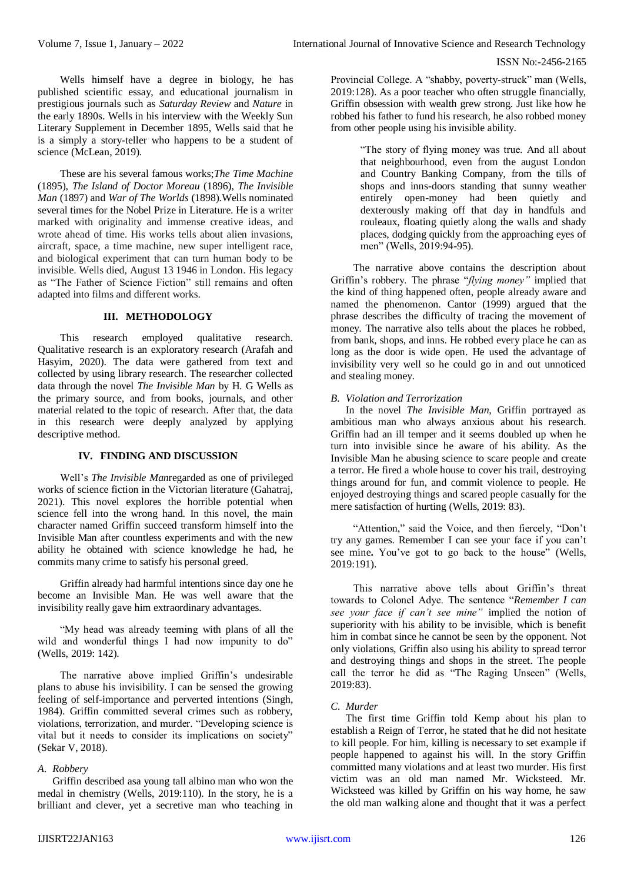Wells himself have a degree in biology, he has published scientific essay, and educational journalism in prestigious journals such as *Saturday Review* and *Nature* in the early 1890s. Wells in his interview with the Weekly Sun Literary Supplement in December 1895, Wells said that he is a simply a story-teller who happens to be a student of science (McLean, 2019).

These are his several famous works;*The Time Machine*  (1895), *The Island of Doctor Moreau* (1896), *The Invisible Man* (1897) and *War of The Worlds* (1898).Wells nominated several times for the Nobel Prize in Literature. He is a writer marked with originality and immense creative ideas, and wrote ahead of time. His works tells about alien invasions, aircraft, space, a time machine, new super intelligent race, and biological experiment that can turn human body to be invisible. Wells died, August 13 1946 in London. His legacy as "The Father of Science Fiction" still remains and often adapted into films and different works.

#### **III. METHODOLOGY**

This research employed qualitative research. Qualitative research is an exploratory research (Arafah and Hasyim, 2020). The data were gathered from text and collected by using library research. The researcher collected data through the novel *The Invisible Man* by H. G Wells as the primary source, and from books, journals, and other material related to the topic of research. After that, the data in this research were deeply analyzed by applying descriptive method.

## **IV. FINDING AND DISCUSSION**

Well's *The Invisible Man*regarded as one of privileged works of science fiction in the Victorian literature (Gahatraj, 2021). This novel explores the horrible potential when science fell into the wrong hand. In this novel, the main character named Griffin succeed transform himself into the Invisible Man after countless experiments and with the new ability he obtained with science knowledge he had, he commits many crime to satisfy his personal greed.

Griffin already had harmful intentions since day one he become an Invisible Man. He was well aware that the invisibility really gave him extraordinary advantages.

"My head was already teeming with plans of all the wild and wonderful things I had now impunity to do" (Wells, 2019: 142).

The narrative above implied Griffin's undesirable plans to abuse his invisibility. I can be sensed the growing feeling of self-importance and perverted intentions (Singh, 1984). Griffin committed several crimes such as robbery, violations, terrorization, and murder. "Developing science is vital but it needs to consider its implications on society" (Sekar V, 2018).

#### *A. Robbery*

Griffin described asa young tall albino man who won the medal in chemistry (Wells, 2019:110). In the story, he is a brilliant and clever, yet a secretive man who teaching in Provincial College. A "shabby, poverty-struck" man (Wells, 2019:128). As a poor teacher who often struggle financially, Griffin obsession with wealth grew strong. Just like how he robbed his father to fund his research, he also robbed money from other people using his invisible ability.

> "The story of flying money was true. And all about that neighbourhood, even from the august London and Country Banking Company, from the tills of shops and inns-doors standing that sunny weather entirely open-money had been quietly and dexterously making off that day in handfuls and rouleaux, floating quietly along the walls and shady places, dodging quickly from the approaching eyes of men" (Wells, 2019:94-95).

The narrative above contains the description about Griffin's robbery. The phrase "*flying money"* implied that the kind of thing happened often, people already aware and named the phenomenon. Cantor (1999) argued that the phrase describes the difficulty of tracing the movement of money. The narrative also tells about the places he robbed, from bank, shops, and inns. He robbed every place he can as long as the door is wide open. He used the advantage of invisibility very well so he could go in and out unnoticed and stealing money.

## *B. Violation and Terrorization*

In the novel *The Invisible Man,* Griffin portrayed as ambitious man who always anxious about his research. Griffin had an ill temper and it seems doubled up when he turn into invisible since he aware of his ability. As the Invisible Man he abusing science to scare people and create a terror. He fired a whole house to cover his trail, destroying things around for fun, and commit violence to people. He enjoyed destroying things and scared people casually for the mere satisfaction of hurting (Wells, 2019: 83).

"Attention," said the Voice, and then fiercely, "Don't try any games. Remember I can see your face if you can't see mine**.** You've got to go back to the house" (Wells, 2019:191).

This narrative above tells about Griffin's threat towards to Colonel Adye. The sentence "*Remember I can see your face if can't see mine"* implied the notion of superiority with his ability to be invisible, which is benefit him in combat since he cannot be seen by the opponent. Not only violations, Griffin also using his ability to spread terror and destroying things and shops in the street. The people call the terror he did as "The Raging Unseen" (Wells, 2019:83).

## *C. Murder*

The first time Griffin told Kemp about his plan to establish a Reign of Terror, he stated that he did not hesitate to kill people. For him, killing is necessary to set example if people happened to against his will. In the story Griffin committed many violations and at least two murder. His first victim was an old man named Mr. Wicksteed. Mr. Wicksteed was killed by Griffin on his way home, he saw the old man walking alone and thought that it was a perfect